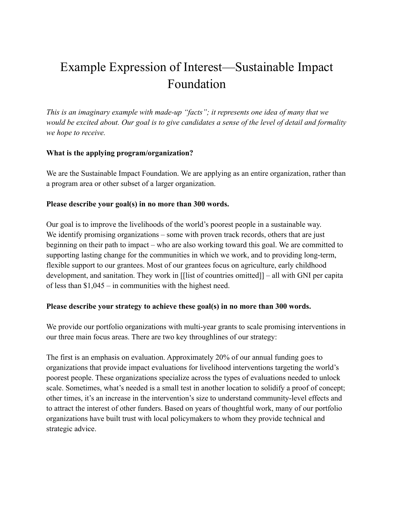# Example Expression of Interest—Sustainable Impact Foundation

*This is an imaginary example with made-up "facts"; it represents one idea of many that we would be excited about. Our goal is to give candidates a sense of the level of detail and formality we hope to receive.*

### **What is the applying program/organization?**

We are the Sustainable Impact Foundation. We are applying as an entire organization, rather than a program area or other subset of a larger organization.

#### **Please describe your goal(s) in no more than 300 words.**

Our goal is to improve the livelihoods of the world's poorest people in a sustainable way. We identify promising organizations – some with proven track records, others that are just beginning on their path to impact – who are also working toward this goal. We are committed to supporting lasting change for the communities in which we work, and to providing long-term, flexible support to our grantees. Most of our grantees focus on agriculture, early childhood development, and sanitation. They work in [[list of countries omitted]] – all with GNI per capita of less than \$1,045 – in communities with the highest need.

#### **Please describe your strategy to achieve these goal(s) in no more than 300 words.**

We provide our portfolio organizations with multi-year grants to scale promising interventions in our three main focus areas. There are two key throughlines of our strategy:

The first is an emphasis on evaluation. Approximately 20% of our annual funding goes to organizations that provide impact evaluations for livelihood interventions targeting the world's poorest people. These organizations specialize across the types of evaluations needed to unlock scale. Sometimes, what's needed is a small test in another location to solidify a proof of concept; other times, it's an increase in the intervention's size to understand community-level effects and to attract the interest of other funders. Based on years of thoughtful work, many of our portfolio organizations have built trust with local policymakers to whom they provide technical and strategic advice.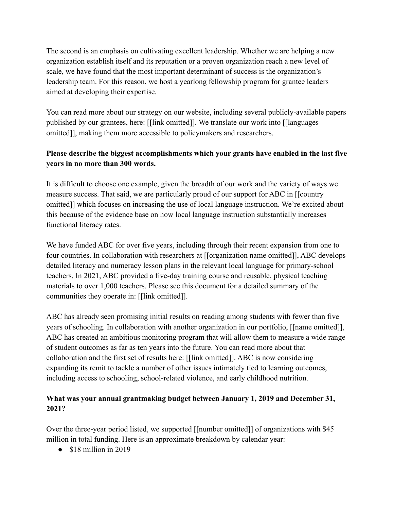The second is an emphasis on cultivating excellent leadership. Whether we are helping a new organization establish itself and its reputation or a proven organization reach a new level of scale, we have found that the most important determinant of success is the organization's leadership team. For this reason, we host a yearlong fellowship program for grantee leaders aimed at developing their expertise.

You can read more about our strategy on our website, including several publicly-available papers published by our grantees, here: [[link omitted]]. We translate our work into [[languages omitted]], making them more accessible to policymakers and researchers.

## **Please describe the biggest accomplishments which your grants have enabled in the last five years in no more than 300 words.**

It is difficult to choose one example, given the breadth of our work and the variety of ways we measure success. That said, we are particularly proud of our support for ABC in [[country omitted]] which focuses on increasing the use of local language instruction. We're excited about this because of the evidence base on how local language instruction substantially increases functional literacy rates.

We have funded ABC for over five years, including through their recent expansion from one to four countries. In collaboration with researchers at [[organization name omitted]], ABC develops detailed literacy and numeracy lesson plans in the relevant local language for primary-school teachers. In 2021, ABC provided a five-day training course and reusable, physical teaching materials to over 1,000 teachers. Please see this document for a detailed summary of the communities they operate in: [[link omitted]].

ABC has already seen promising initial results on reading among students with fewer than five years of schooling. In collaboration with another organization in our portfolio, [[name omitted]], ABC has created an ambitious monitoring program that will allow them to measure a wide range of student outcomes as far as ten years into the future. You can read more about that collaboration and the first set of results here: [[link omitted]]. ABC is now considering expanding its remit to tackle a number of other issues intimately tied to learning outcomes, including access to schooling, school-related violence, and early childhood nutrition.

## **What was your annual grantmaking budget between January 1, 2019 and December 31, 2021?**

Over the three-year period listed, we supported [[number omitted]] of organizations with \$45 million in total funding. Here is an approximate breakdown by calendar year:

 $\bullet$  \$18 million in 2019